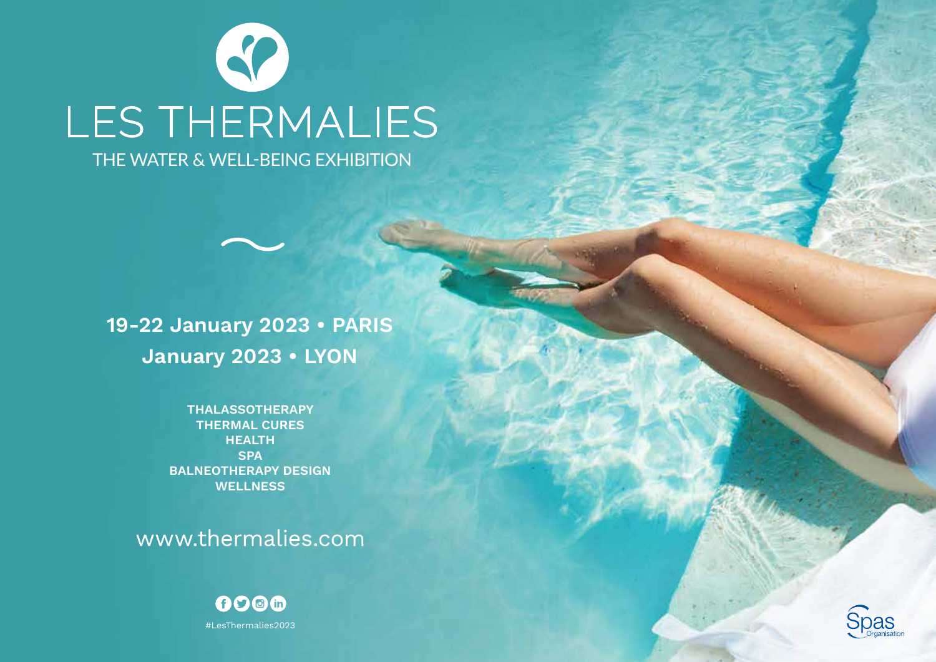

19-22 January 2023 • PARIS January 2023 • LYON

> THALASSOTHERAPY THERMAL CURES **HEALTH SPA** BALNEOTHERAPY DESIGN **WELLNESS**

www.thermalies.com



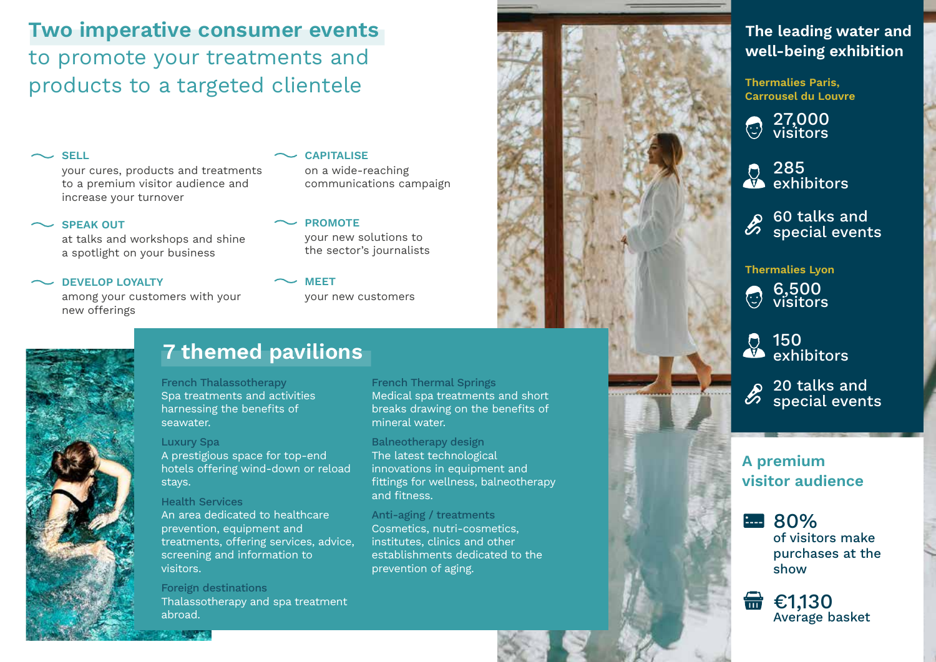Two imperative consumer events to promote your treatments and products to a targeted clientele

#### SELL

your cures, products and treatments to a premium visitor audience and increase your turnover

#### SPEAK OUT

at talks and workshops and shine a spotlight on your business

## DEVELOP LOYALTY

among your customers with your new offerings

### CAPITALISE

on a wide-reaching communications campaign

your new solutions to the sector's journalists

## MEET

# PROMOTE

your new customers



# 7 themed pavilions

French Thalassotherapy Spa treatments and activities harnessing the benefits of seawater.

#### Luxury Spa

A prestigious space for top-end hotels offering wind-down or reload stays.

#### Health Services

An area dedicated to healthcare prevention, equipment and treatments, offering services, advice, screening and information to visitors.

Foreign destinations Thalassotherapy and spa treatment abroad.

French Thermal Springs Medical spa treatments and short breaks drawing on the benefits of mineral water.

#### Balneotherapy design

The latest technological innovations in equipment and fittings for wellness, balneotherapy and fitness.

## Anti-aging / treatments Cosmetics, nutri-cosmetics,

institutes, clinics and other establishments dedicated to the prevention of aging.



## The leading water and well-being exhibition

Thermalies Paris, Carrousel du Louvre

27,000  $\odot$ visitors

285 exhibitors

60 talks and  $\mathscr{E}$ special events

## Thermalies Lyon

6,500  $\odot$ visitors

> 150 exhibitors

20 talks and  $\mathscr{E}$ special events

## A premium visitor audience

**EL 80%** of visitors make purchases at the show

耑 €1,130 Average basket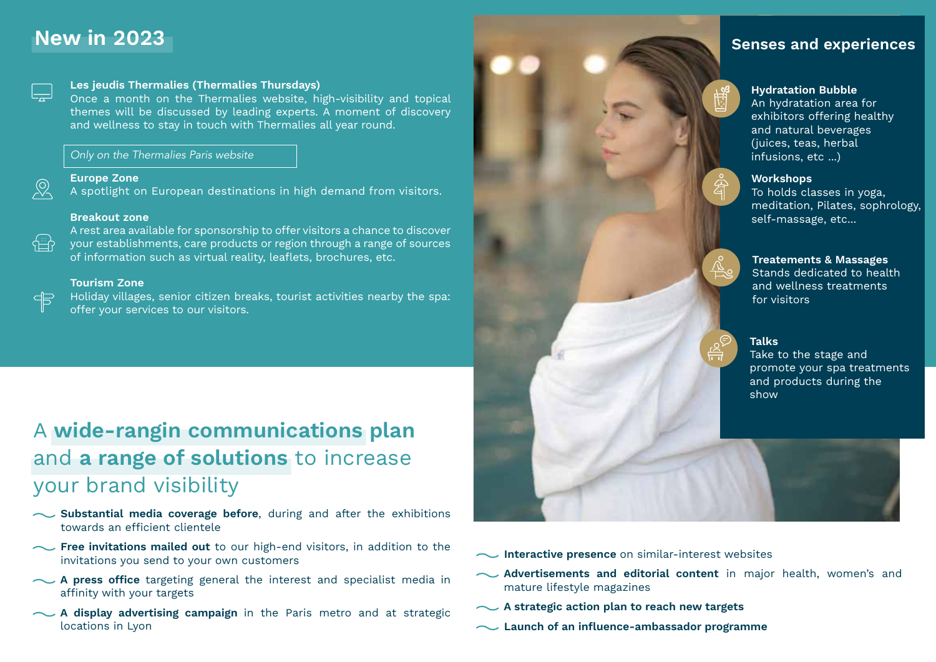# New in 2023

## Les jeudis Thermalies (Thermalies Thursdays)

Once a month on the Thermalies website, high-visibility and topical themes will be discussed by leading experts. A moment of discovery and wellness to stay in touch with Thermalies all year round.

*Only on the Thermalies Paris website*

#### Europe Zone

A spotlight on European destinations in high demand from visitors.

### Breakout zone



 $\overline{\mathbb{R}}$ 

A rest area available for sponsorship to offer visitors a chance to discover your establishments, care products or region through a range of sources of information such as virtual reality, leaflets, brochures, etc.

## Tourism Zone

Holiday villages, senior citizen breaks, tourist activities nearby the spa: offer your services to our visitors.

# A wide-rangin communications plan and a range of solutions to increase your brand visibility

- Substantial media coverage before, during and after the exhibitions towards an efficient clientele
- Free invitations mailed out to our high-end visitors, in addition to the invitations you send to your own customers
- A press office targeting general the interest and specialist media in affinity with your targets
- A display advertising campaign in the Paris metro and at strategic locations in Lyon



- **Interactive presence** on similar-interest websites
- Advertisements and editorial content in major health, women's and mature lifestyle magazines
- $\sim$  A strategic action plan to reach new targets
- Launch of an influence-ambassador programme

## Senses and experiences